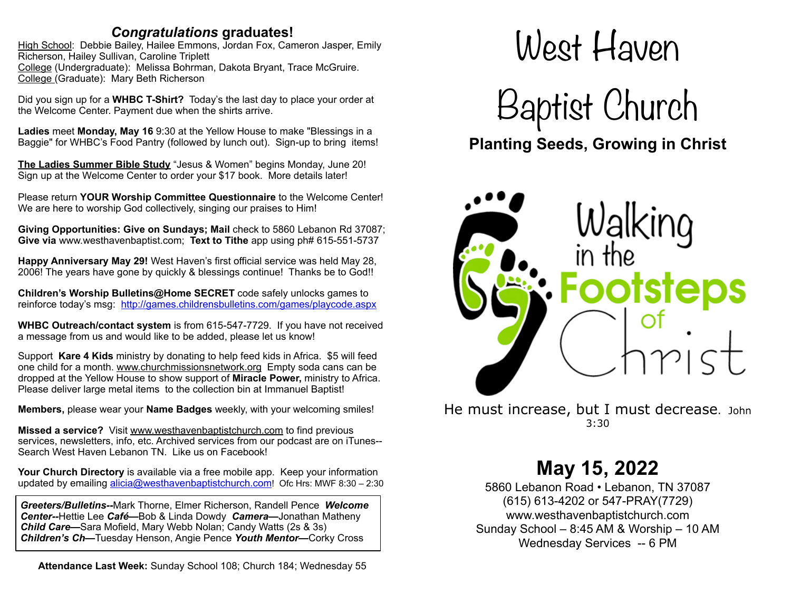#### *Congratulations* **graduates!**

High School: Debbie Bailey, Hailee Emmons, Jordan Fox, Cameron Jasper. Emily Richerson, Hailey Sullivan, Caroline Triplett College (Undergraduate): Melissa Bohrman, Dakota Bryant, Trace McGruire. College (Graduate): Mary Beth Richerson

Did you sign up for a **WHBC T-Shirt?** Today's the last day to place your order at the Welcome Center. Payment due when the shirts arrive.

**Ladies** meet **Monday, May 16** 9:30 at the Yellow House to make "Blessings in a Baggie" for WHBC's Food Pantry (followed by lunch out). Sign-up to bring items!

**The Ladies Summer Bible Study** "Jesus & Women" begins Monday, June 20! Sign up at the Welcome Center to order your \$17 book. More details later!

Please return **YOUR Worship Committee Questionnaire** to the Welcome Center! We are here to worship God collectively, singing our praises to Him!

**Giving Opportunities: Give on Sundays; Mail** check to 5860 Lebanon Rd 37087; **Give via** [www.westhavenbaptist.com;](http://www.westhavenbaptist.com) **Text to Tithe** app using ph# 615-551-5737

**Happy Anniversary May 29!** West Haven's first official service was held May 28, 2006! The years have gone by quickly & blessings continue! Thanks be to God!!

**Children's Worship Bulletins@Home SECRET** code safely unlocks games to reinforce today's msg: http://games.childrensbulletins.com/games/playcode.aspx

**WHBC Outreach/contact system** is from 615-547-7729. If you have not received a message from us and would like to be added, please let us know!

Support **Kare 4 Kids** ministry by donating to help feed kids in Africa. \$5 will feed one child for a month. [www.churchmissionsnetwork.org](http://www.churchmissionsnetwork.org) Empty soda cans can be dropped at the Yellow House to show support of **Miracle Power,** ministry to Africa. Please deliver large metal items to the collection bin at Immanuel Baptist!

**Members,** please wear your **Name Badges** weekly, with your welcoming smiles!

**Missed a service?** Visit [www.westhavenbaptistchurch.com](http://www.westhavenbaptistchurch.com) to find previous services, newsletters, info, etc. Archived services from our podcast are on iTunes-- Search West Haven Lebanon TN. Like us on Facebook!

**Your Church Directory** is available via a free mobile app. Keep your information updated by emailing [alicia@westhavenbaptistchurch.com](mailto:alicia@westhavenbaptistchurch.com)! Ofc Hrs: MWF 8:30 – 2:30

*Greeters/Bulletins--*Mark Thorne, Elmer Richerson, Randell Pence *Welcome Center--*Hettie Lee *Café—*Bob & Linda Dowdy *Camera—*Jonathan Matheny *Child Care—*Sara Mofield, Mary Webb Nolan; Candy Watts (2s & 3s) *Children's Ch—*Tuesday Henson, Angie Pence *Youth Mentor—*Corky Cross

**Attendance Last Week:** Sunday School 108; Church 184; Wednesday 55

# West Haven

Baptist Church

**Planting Seeds, Growing in Christ**



He must increase, but I must decrease. John 3:30

## **May 15, 2022**

5860 Lebanon Road • Lebanon, TN 37087 (615) 613-4202 or 547-PRAY(7729) www.westhavenbaptistchurch.com Sunday School – 8:45 AM & Worship – 10 AM Wednesday Services -- 6 PM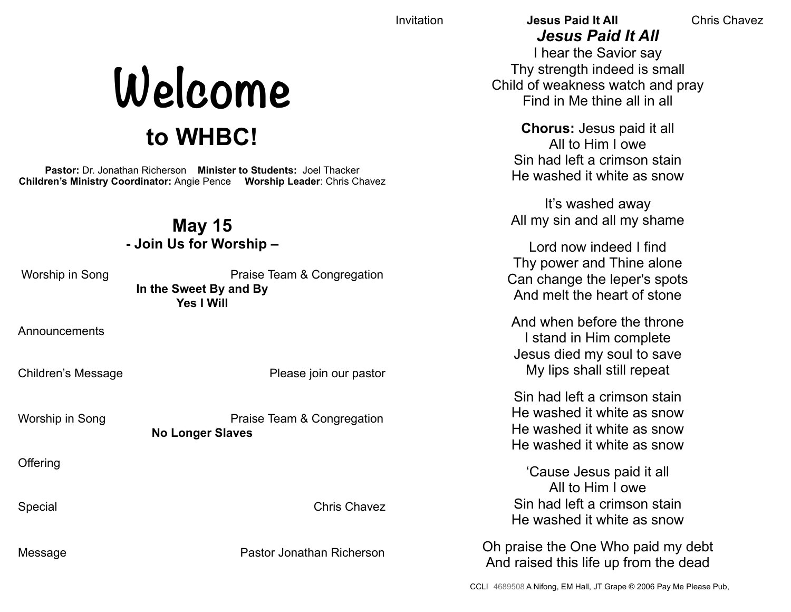Invitation **Jesus Paid It All** Chris Chavez

# *Jesus Paid It All*

I hear the Savior say Thy strength indeed is small Child of weakness watch and pray Find in Me thine all in all

> **Chorus:** Jesus paid it all All to Him I owe Sin had left a crimson stain He washed it white as snow

> It's washed away All my sin and all my shame

Lord now indeed I find Thy power and Thine alone Can change the leper's spots And melt the heart of stone

And when before the throne I stand in Him complete Jesus died my soul to save My lips shall still repeat

Sin had left a crimson stain He washed it white as snow He washed it white as snow He washed it white as snow

'Cause Jesus paid it all All to Him I owe Sin had left a crimson stain He washed it white as snow

Oh praise the One Who paid my debt And raised this life up from the dead

# **Welcome to WHBC!**

**Pastor:** Dr. Jonathan Richerson **Minister to Students:** Joel Thacker **Children's Ministry Coordinator:** Angie Pence **Worship Leader**: Chris Chavez

### **May 15 - Join Us for Worship –**

Worship in Son

| Worship in Song | Praise Team & Congregation |
|-----------------|----------------------------|
|                 | In the Sweet By and By     |
|                 | <b>Yes I Will</b>          |
| Announcements   |                            |

Children's Message **Please** ioin our pastor

Worship in Song **Praise Team & Congregation No Longer Slaves**

**Offering** 

Special Chris Chavez

Message **Pastor Jonathan Richerson** 

CCLI 4689508 A Nifong, EM Hall, JT Grape © 2006 Pay Me Please Pub,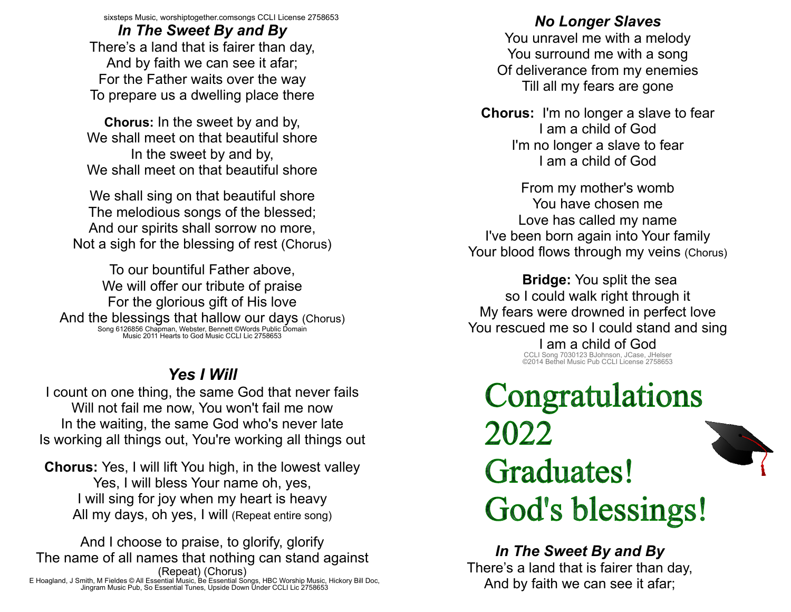sixsteps Music, worshiptogether.comsongs CCLI License 2758653

*In The Sweet By and By* There's a land that is fairer than day, And by faith we can see it afar; For the Father waits over the way To prepare us a dwelling place there

**Chorus:** In the sweet by and by, We shall meet on that beautiful shore In the sweet by and by, We shall meet on that beautiful shore

We shall sing on that beautiful shore The melodious songs of the blessed; And our spirits shall sorrow no more, Not a sigh for the blessing of rest (Chorus)

To our bountiful Father above, We will offer our tribute of praise For the glorious gift of His love And the blessings that hallow our days (Chorus)<br>Song 6126856 Chapman, Webster, Bennett ©Words Public Domain Music 2011 Hearts to God Music CCLI Lic 2758653

## *Yes I Will*

I count on one thing, the same God that never fails Will not fail me now, You won't fail me now In the waiting, the same God who's never late Is working all things out, You're working all things out

**Chorus:** Yes, I will lift You high, in the lowest valley Yes, I will bless Your name oh, yes, I will sing for joy when my heart is heavy All my days, oh yes, I will (Repeat entire song)

And I choose to praise, to glorify, glorify The name of all names that nothing can stand against (Repeat) (Chorus) E Hoagland, J Smith, M Fieldes © All Essential Music, Be Essential Songs, HBC Worship Music, Hickory Bill Doc, Jingram Music Pub, So Essential Tunes, Upside Down Under CCLI Lic 2758653

### *No Longer Slaves*

You unravel me with a melody You surround me with a song Of deliverance from my enemies Till all my fears are gone

**Chorus:** I'm no longer a slave to fear I am a child of God I'm no longer a slave to fear I am a child of God

From my mother's womb You have chosen me Love has called my name I've been born again into Your family Your blood flows through my veins (Chorus)

 **Bridge:** You split the sea so I could walk right through it My fears were drowned in perfect love You rescued me so I could stand and sing I am a child of God CCLI Song 7030123 BJohnson, JCase, JHelser ©2014 Bethel Music Pub CCLI License 2758653



*In The Sweet By and By* There's a land that is fairer than day, And by faith we can see it afar;